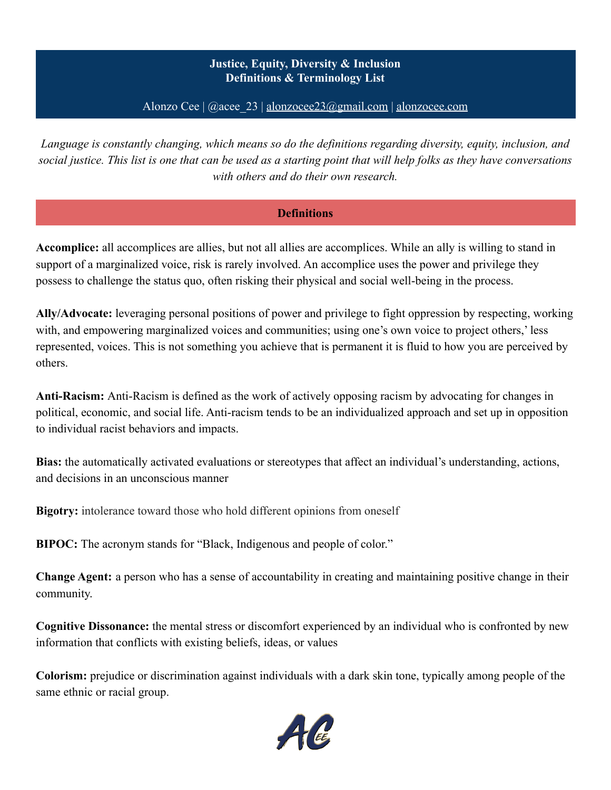## **Justice, Equity, Diversity & Inclusion Definitions & Terminology List**

Alonzo Cee  $|$  @acee 23 | [alonzocee23@gmail.com](mailto:alonzocee23@gmail.com) | [alonzocee.com](http://alonzocee.com)

*Language is constantly changing, which means so do the definitions regarding diversity, equity, inclusion, and social justice. This list is one that can be used as a starting point that will help folks as they have conversations with others and do their own research.*

#### **Definitions**

**Accomplice:** all accomplices are allies, but not all allies are accomplices. While an ally is willing to stand in support of a marginalized voice, risk is rarely involved. An accomplice uses the power and privilege they possess to challenge the status quo, often risking their physical and social well-being in the process.

**Ally/Advocate:** leveraging personal positions of power and privilege to fight oppression by respecting, working with, and empowering marginalized voices and communities; using one's own voice to project others,' less represented, voices. This is not something you achieve that is permanent it is fluid to how you are perceived by others.

**Anti-Racism:** Anti-Racism is defined as the work of actively opposing racism by advocating for changes in political, economic, and social life. Anti-racism tends to be an individualized approach and set up in opposition to individual racist behaviors and impacts.

**Bias:** the automatically activated evaluations or stereotypes that affect an individual's understanding, actions, and decisions in an unconscious manner

**Bigotry:** intolerance toward those who hold different opinions from oneself

**BIPOC:** The acronym stands for "Black, Indigenous and people of color."

**Change Agent:** a person who has a sense of accountability in creating and maintaining positive change in their community.

**Cognitive Dissonance:** the mental stress or discomfort experienced by an individual who is confronted by new information that conflicts with existing beliefs, ideas, or values

**Colorism:** prejudice or discrimination against individuals with a dark skin tone, typically among people of the same ethnic or racial group.

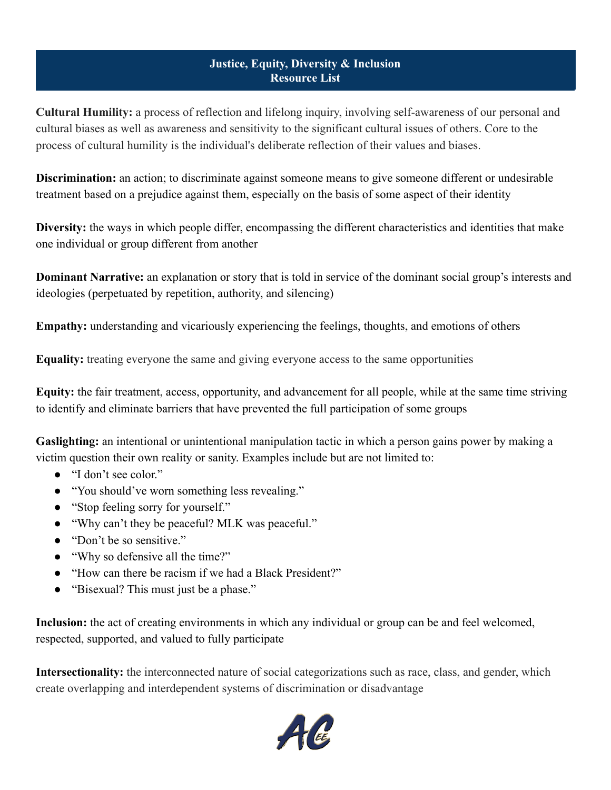#### **Justice, Equity, Diversity & Inclusion Resource List**

**Cultural Humility:** a process of reflection and lifelong inquiry, involving self-awareness of our personal and cultural biases as well as awareness and sensitivity to the significant cultural issues of others. Core to the process of cultural humility is the individual's deliberate reflection of their values and biases.

**Discrimination:** an action; to discriminate against someone means to give someone different or undesirable treatment based on a prejudice against them, especially on the basis of some aspect of their identity

**Diversity:** the ways in which people differ, encompassing the different characteristics and identities that make one individual or group different from another

**Dominant Narrative:** an explanation or story that is told in service of the dominant social group's interests and ideologies (perpetuated by repetition, authority, and silencing)

**Empathy:** understanding and vicariously experiencing the feelings, thoughts, and emotions of others

**Equality:** treating everyone the same and giving everyone access to the same opportunities

**Equity:** the fair treatment, access, opportunity, and advancement for all people, while at the same time striving to identify and eliminate barriers that have prevented the full participation of some groups

**Gaslighting:** an intentional or unintentional manipulation tactic in which a person gains power by making a victim question their own reality or sanity. Examples include but are not limited to:

- "I don't see color."
- "You should've worn something less revealing."
- "Stop feeling sorry for yourself."
- "Why can't they be peaceful? MLK was peaceful."
- "Don't be so sensitive."
- "Why so defensive all the time?"
- "How can there be racism if we had a Black President?"
- "Bisexual? This must just be a phase."

**Inclusion:** the act of creating environments in which any individual or group can be and feel welcomed, respected, supported, and valued to fully participate

**Intersectionality:** the interconnected nature of social categorizations such as race, class, and gender, which create overlapping and interdependent systems of discrimination or disadvantage

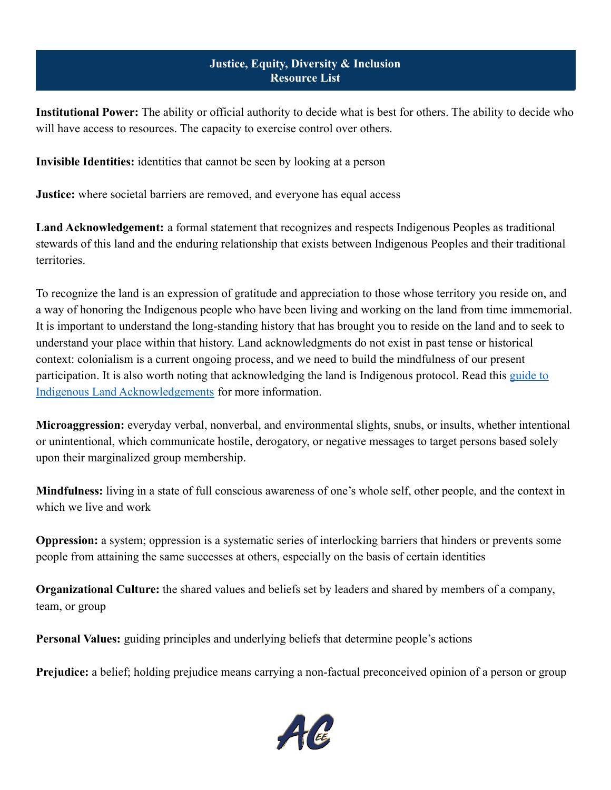#### **Justice, Equity, Diversity & Inclusion Resource List**

**Institutional Power:** The ability or official authority to decide what is best for others. The ability to decide who will have access to resources. The capacity to exercise control over others.

**Invisible Identities:** identities that cannot be seen by looking at a person

**Justice:** where societal barriers are removed, and everyone has equal access

**Land Acknowledgement:** a formal statement that recognizes and respects Indigenous Peoples as traditional stewards of this land and the enduring relationship that exists between Indigenous Peoples and their traditional territories.

To recognize the land is an expression of gratitude and appreciation to those whose territory you reside on, and a way of honoring the Indigenous people who have been living and working on the land from time immemorial. It is important to understand the long-standing history that has brought you to reside on the land and to seek to understand your place within that history. Land acknowledgments do not exist in past tense or historical context: colonialism is a current ongoing process, and we need to build the mindfulness of our present participation. It is also worth noting that acknowledging the land is Indigenous protocol. Read this [guide](https://nativegov.org/a-guide-to-indigenous-land-acknowledgment/) to [Indigenous Land Acknowledgements](https://nativegov.org/a-guide-to-indigenous-land-acknowledgment/) for more information.

**Microaggression:** everyday verbal, nonverbal, and environmental slights, snubs, or insults, whether intentional or unintentional, which communicate hostile, derogatory, or negative messages to target persons based solely upon their marginalized group membership.

**Mindfulness:** living in a state of full conscious awareness of one's whole self, other people, and the context in which we live and work

**Oppression:** a system; oppression is a systematic series of interlocking barriers that hinders or prevents some people from attaining the same successes at others, especially on the basis of certain identities

**Organizational Culture:** the shared values and beliefs set by leaders and shared by members of a company, team, or group

**Personal Values:** guiding principles and underlying beliefs that determine people's actions

**Prejudice:** a belief; holding prejudice means carrying a non-factual preconceived opinion of a person or group

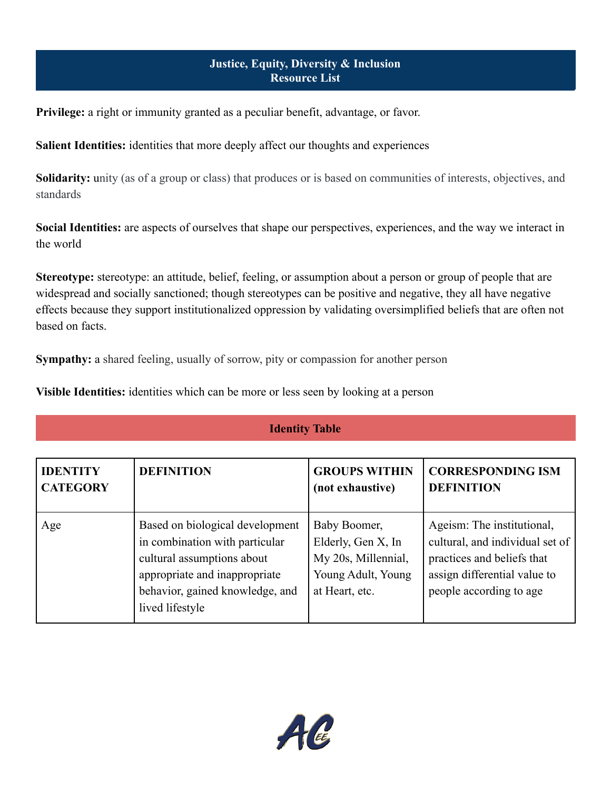### **Justice, Equity, Diversity & Inclusion Resource List**

**Privilege:** a right or immunity granted as a peculiar benefit, advantage, or favor.

**Salient Identities:** identities that more deeply affect our thoughts and experiences

**Solidarity:** unity (as of a group or class) that produces or is based on communities of interests, objectives, and standards

**Social Identities:** are aspects of ourselves that shape our perspectives, experiences, and the way we interact in the world

**Stereotype:** stereotype: an attitude, belief, feeling, or assumption about a person or group of people that are widespread and socially sanctioned; though stereotypes can be positive and negative, they all have negative effects because they support institutionalized oppression by validating oversimplified beliefs that are often not based on facts.

**Sympathy:** a shared feeling, usually of sorrow, pity or compassion for another person

**Visible Identities:** identities which can be more or less seen by looking at a person

# **Identity Table**

| <b>IDENTITY</b> | <b>DEFINITION</b>                                                                                                                                                                      | <b>GROUPS WITHIN</b>                                                                              | <b>CORRESPONDING ISM</b>                                                                                                                               |
|-----------------|----------------------------------------------------------------------------------------------------------------------------------------------------------------------------------------|---------------------------------------------------------------------------------------------------|--------------------------------------------------------------------------------------------------------------------------------------------------------|
| <b>CATEGORY</b> |                                                                                                                                                                                        | (not exhaustive)                                                                                  | <b>DEFINITION</b>                                                                                                                                      |
| Age             | Based on biological development<br>in combination with particular<br>cultural assumptions about<br>appropriate and inappropriate<br>behavior, gained knowledge, and<br>lived lifestyle | Baby Boomer,<br>Elderly, Gen X, In<br>My 20s, Millennial,<br>Young Adult, Young<br>at Heart, etc. | Ageism: The institutional,<br>cultural, and individual set of<br>practices and beliefs that<br>assign differential value to<br>people according to age |

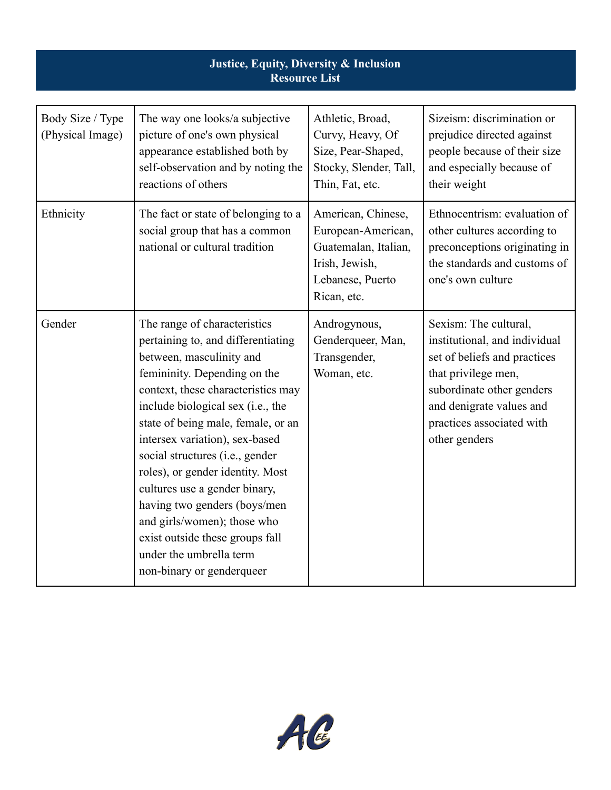| Justice, Equity, Diversity & Inclusion<br><b>Resource List</b> |                                                                                                                                                                                                                                                                                                                                                                                                                                                                                                                                                     |                                                                                                                       |                                                                                                                                                                                                                      |
|----------------------------------------------------------------|-----------------------------------------------------------------------------------------------------------------------------------------------------------------------------------------------------------------------------------------------------------------------------------------------------------------------------------------------------------------------------------------------------------------------------------------------------------------------------------------------------------------------------------------------------|-----------------------------------------------------------------------------------------------------------------------|----------------------------------------------------------------------------------------------------------------------------------------------------------------------------------------------------------------------|
| Body Size / Type<br>(Physical Image)                           | The way one looks/a subjective<br>picture of one's own physical<br>appearance established both by<br>self-observation and by noting the<br>reactions of others                                                                                                                                                                                                                                                                                                                                                                                      | Athletic, Broad,<br>Curvy, Heavy, Of<br>Size, Pear-Shaped,<br>Stocky, Slender, Tall,<br>Thin, Fat, etc.               | Sizeism: discrimination or<br>prejudice directed against<br>people because of their size<br>and especially because of<br>their weight                                                                                |
| Ethnicity                                                      | The fact or state of belonging to a<br>social group that has a common<br>national or cultural tradition                                                                                                                                                                                                                                                                                                                                                                                                                                             | American, Chinese,<br>European-American,<br>Guatemalan, Italian,<br>Irish, Jewish,<br>Lebanese, Puerto<br>Rican, etc. | Ethnocentrism: evaluation of<br>other cultures according to<br>preconceptions originating in<br>the standards and customs of<br>one's own culture                                                                    |
| Gender                                                         | The range of characteristics<br>pertaining to, and differentiating<br>between, masculinity and<br>femininity. Depending on the<br>context, these characteristics may<br>include biological sex (i.e., the<br>state of being male, female, or an<br>intersex variation), sex-based<br>social structures (i.e., gender<br>roles), or gender identity. Most<br>cultures use a gender binary,<br>having two genders (boys/men<br>and girls/women); those who<br>exist outside these groups fall<br>under the umbrella term<br>non-binary or genderqueer | Androgynous,<br>Genderqueer, Man,<br>Transgender,<br>Woman, etc.                                                      | Sexism: The cultural,<br>institutional, and individual<br>set of beliefs and practices<br>that privilege men,<br>subordinate other genders<br>and denigrate values and<br>practices associated with<br>other genders |

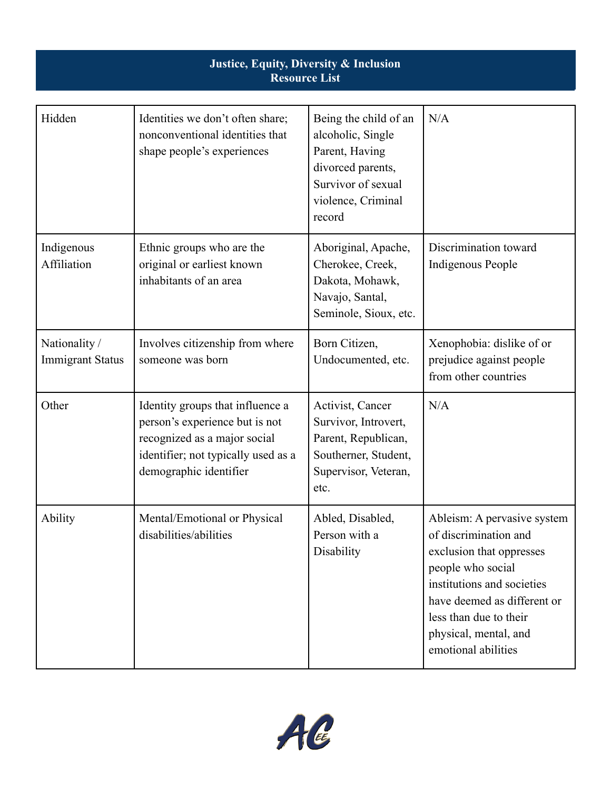| Justice, Equity, Diversity & Inclusion<br><b>Resource List</b> |                                                                                                                                                                     |                                                                                                                                         |                                                                                                                                                                                                                                              |
|----------------------------------------------------------------|---------------------------------------------------------------------------------------------------------------------------------------------------------------------|-----------------------------------------------------------------------------------------------------------------------------------------|----------------------------------------------------------------------------------------------------------------------------------------------------------------------------------------------------------------------------------------------|
| Hidden                                                         | Identities we don't often share;<br>nonconventional identities that<br>shape people's experiences                                                                   | Being the child of an<br>alcoholic, Single<br>Parent, Having<br>divorced parents,<br>Survivor of sexual<br>violence, Criminal<br>record | N/A                                                                                                                                                                                                                                          |
| Indigenous<br>Affiliation                                      | Ethnic groups who are the<br>original or earliest known<br>inhabitants of an area                                                                                   | Aboriginal, Apache,<br>Cherokee, Creek,<br>Dakota, Mohawk,<br>Navajo, Santal,<br>Seminole, Sioux, etc.                                  | Discrimination toward<br>Indigenous People                                                                                                                                                                                                   |
| Nationality /<br><b>Immigrant Status</b>                       | Involves citizenship from where<br>someone was born                                                                                                                 | Born Citizen,<br>Undocumented, etc.                                                                                                     | Xenophobia: dislike of or<br>prejudice against people<br>from other countries                                                                                                                                                                |
| Other                                                          | Identity groups that influence a<br>person's experience but is not<br>recognized as a major social<br>identifier; not typically used as a<br>demographic identifier | Activist, Cancer<br>Survivor, Introvert,<br>Parent, Republican,<br>Southerner, Student,<br>Supervisor, Veteran,<br>etc.                 | N/A                                                                                                                                                                                                                                          |
| <b>Ability</b>                                                 | Mental/Emotional or Physical<br>disabilities/abilities                                                                                                              | Abled, Disabled,<br>Person with a<br>Disability                                                                                         | Ableism: A pervasive system<br>of discrimination and<br>exclusion that oppresses<br>people who social<br>institutions and societies<br>have deemed as different or<br>less than due to their<br>physical, mental, and<br>emotional abilities |

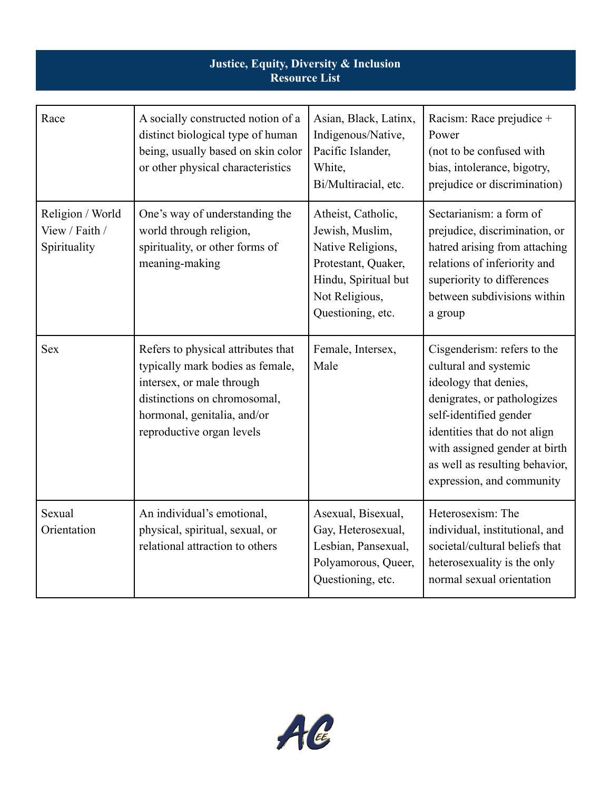| Justice, Equity, Diversity & Inclusion<br><b>Resource List</b> |                                                                                                                                                                                                 |                                                                                                                                                  |                                                                                                                                                                                                                                                                        |
|----------------------------------------------------------------|-------------------------------------------------------------------------------------------------------------------------------------------------------------------------------------------------|--------------------------------------------------------------------------------------------------------------------------------------------------|------------------------------------------------------------------------------------------------------------------------------------------------------------------------------------------------------------------------------------------------------------------------|
| Race                                                           | A socially constructed notion of a<br>distinct biological type of human<br>being, usually based on skin color<br>or other physical characteristics                                              | Asian, Black, Latinx,<br>Indigenous/Native,<br>Pacific Islander,<br>White,<br>Bi/Multiracial, etc.                                               | Racism: Race prejudice +<br>Power<br>(not to be confused with<br>bias, intolerance, bigotry,<br>prejudice or discrimination)                                                                                                                                           |
| Religion / World<br>View / Faith /<br>Spirituality             | One's way of understanding the<br>world through religion,<br>spirituality, or other forms of<br>meaning-making                                                                                  | Atheist, Catholic,<br>Jewish, Muslim,<br>Native Religions,<br>Protestant, Quaker,<br>Hindu, Spiritual but<br>Not Religious,<br>Questioning, etc. | Sectarianism: a form of<br>prejudice, discrimination, or<br>hatred arising from attaching<br>relations of inferiority and<br>superiority to differences<br>between subdivisions within<br>a group                                                                      |
| <b>Sex</b>                                                     | Refers to physical attributes that<br>typically mark bodies as female,<br>intersex, or male through<br>distinctions on chromosomal,<br>hormonal, genitalia, and/or<br>reproductive organ levels | Female, Intersex,<br>Male                                                                                                                        | Cisgenderism: refers to the<br>cultural and systemic<br>ideology that denies,<br>denigrates, or pathologizes<br>self-identified gender<br>identities that do not align<br>with assigned gender at birth<br>as well as resulting behavior,<br>expression, and community |
| Sexual<br>Orientation                                          | An individual's emotional,<br>physical, spiritual, sexual, or<br>relational attraction to others                                                                                                | Asexual, Bisexual,<br>Gay, Heterosexual,<br>Lesbian, Pansexual,<br>Polyamorous, Queer,<br>Questioning, etc.                                      | Heterosexism: The<br>individual, institutional, and<br>societal/cultural beliefs that<br>heterosexuality is the only<br>normal sexual orientation                                                                                                                      |